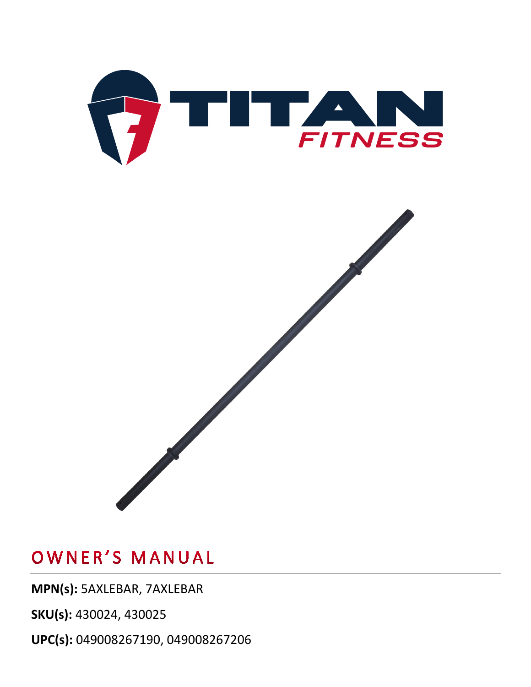

**MPN(s):** 5AXLEBAR, 7AXLEBAR

**SKU(s):** 430024, 430025

**UPC(s):** 049008267190, 049008267206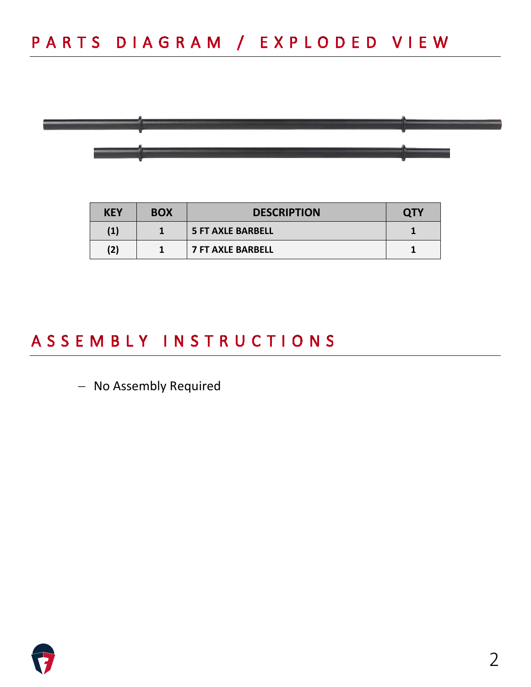

| <b>KEY</b>        | <b>BOX</b> | <b>DESCRIPTION</b>       | <b>QTY</b> |
|-------------------|------------|--------------------------|------------|
| $\left( 1\right)$ |            | <b>5 FT AXLE BARBELL</b> |            |
| (2)               |            | <b>7 FT AXLE BARBELL</b> |            |

### ASSEMBLY INSTRUCTIONS

− No Assembly Required